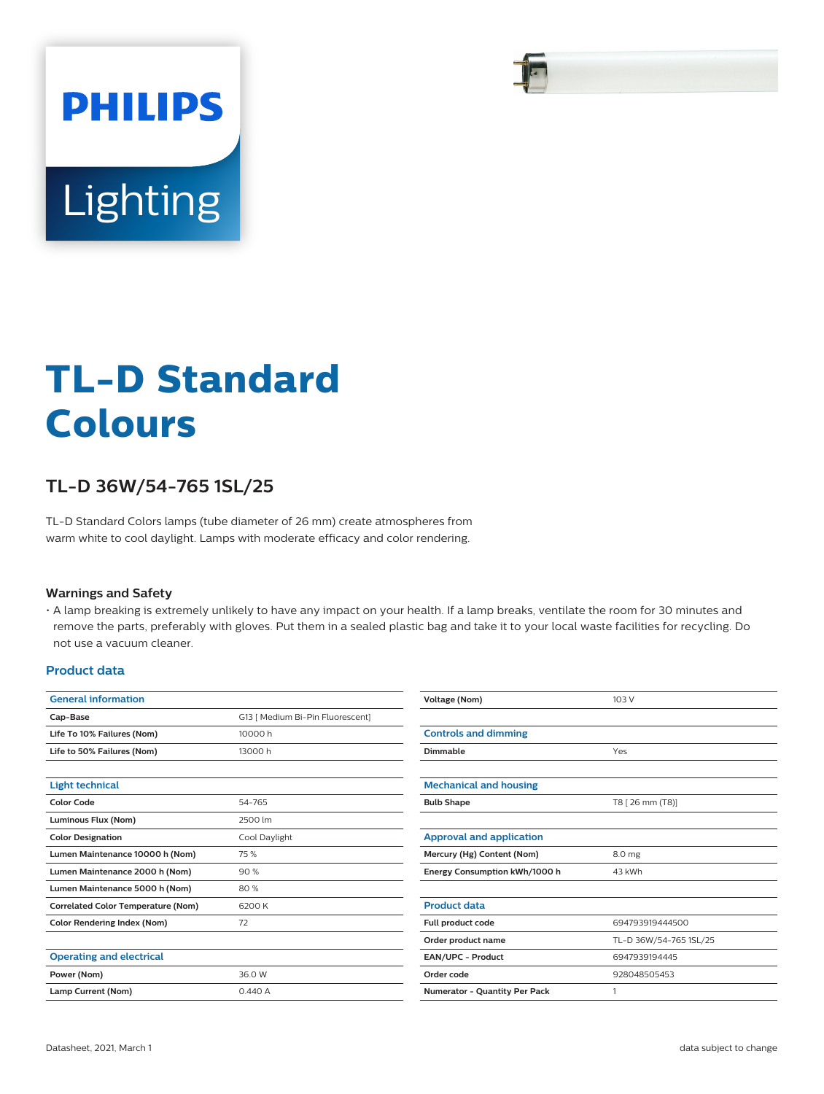

# **TL-D Standard Colours**

## **TL-D 36W/54-765 1SL/25**

TL-D Standard Colors lamps (tube diameter of 26 mm) create atmospheres from warm white to cool daylight. Lamps with moderate efficacy and color rendering.

## **Warnings and Safety**

• A lamp breaking is extremely unlikely to have any impact on your health. If a lamp breaks, ventilate the room for 30 minutes and remove the parts, preferably with gloves. Put them in a sealed plastic bag and take it to your local waste facilities for recycling. Do not use a vacuum cleaner.

## **Product data**

| <b>General information</b>                |                                  | Voltage (Nom)                   | 103 V                  |
|-------------------------------------------|----------------------------------|---------------------------------|------------------------|
| Cap-Base                                  | G13 [ Medium Bi-Pin Fluorescent] |                                 |                        |
| Life To 10% Failures (Nom)                | 10000h                           | <b>Controls and dimming</b>     |                        |
| Life to 50% Failures (Nom)                | 13000h                           | Dimmable                        | Yes                    |
| <b>Light technical</b>                    |                                  | <b>Mechanical and housing</b>   |                        |
| <b>Color Code</b>                         | 54-765                           | <b>Bulb Shape</b>               | T8 [ 26 mm (T8)]       |
| Luminous Flux (Nom)                       | 2500 lm                          |                                 |                        |
| <b>Color Designation</b>                  | Cool Daylight                    | <b>Approval and application</b> |                        |
| Lumen Maintenance 10000 h (Nom)           | 75 %                             | Mercury (Hg) Content (Nom)      | 8.0 mg                 |
| Lumen Maintenance 2000 h (Nom)            | 90%                              | Energy Consumption kWh/1000 h   | 43 kWh                 |
| Lumen Maintenance 5000 h (Nom)            | 80%                              |                                 |                        |
| <b>Correlated Color Temperature (Nom)</b> | 6200 K                           | <b>Product data</b>             |                        |
| <b>Color Rendering Index (Nom)</b>        | 72                               | Full product code               | 694793919444500        |
|                                           |                                  | Order product name              | TL-D 36W/54-765 1SL/25 |
| <b>Operating and electrical</b>           |                                  | EAN/UPC - Product               | 6947939194445          |
| Power (Nom)                               | 36.0 W                           | Order code                      | 928048505453           |
| Lamp Current (Nom)                        | 0.440A                           | Numerator - Quantity Per Pack   |                        |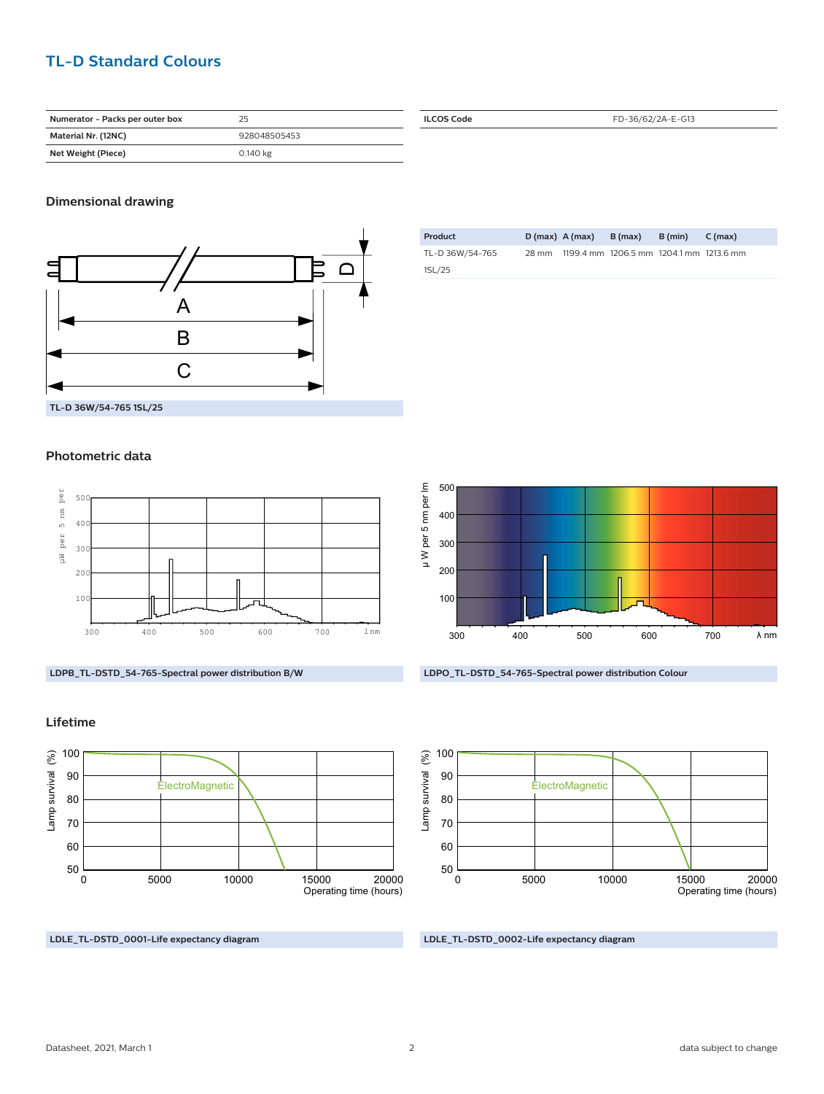## **TL-D Standard Colours**

| Numerator - Packs per outer box | 25           |
|---------------------------------|--------------|
| Material Nr. (12NC)             | 928048505453 |
| Net Weight (Piece)              | 0.140 kg     |

## **Dimensional drawing**



#### **Photometric data**



**LDPB\_TL-DSTD\_54-765-Spectral power distribution B/W**

### **Lifetime**



**LDLE\_TL-DSTD\_0001-Life expectancy diagram**

| <b>ILCOS Code</b> | FD-36/62/2A-E-G13 |  |  |
|-------------------|-------------------|--|--|
|                   |                   |  |  |

| Product         |       | $D(max)$ A (max) | B (max)                                 | B (min) | C (max) |
|-----------------|-------|------------------|-----------------------------------------|---------|---------|
| TL-D 36W/54-765 | 28 mm |                  | 1199.4 mm 1206.5 mm 1204.1 mm 1213.6 mm |         |         |
| 1SL/25          |       |                  |                                         |         |         |







**LDLE\_TL-DSTD\_0002-Life expectancy diagram**